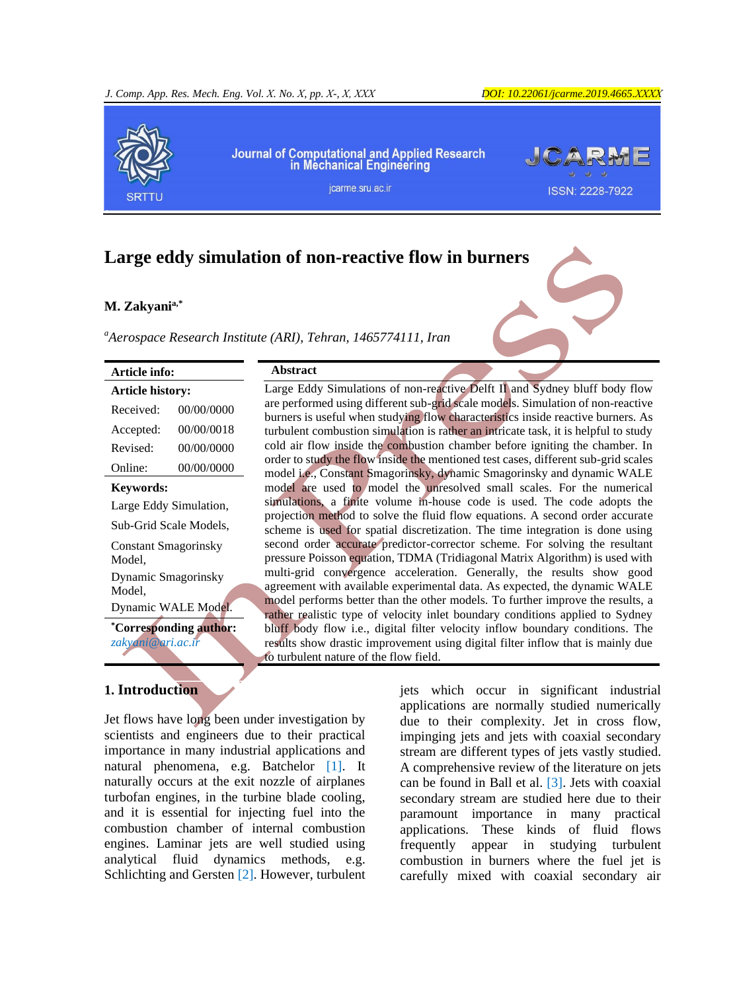

# **Large eddy simulation of non-reactive flow in burners**

### **M. Zakyania,\***

*<sup>a</sup>Aerospace Research Institute (ARI), Tehran, 1465774111, Iran*

**Abstract**

| <b>Article info:</b><br><b>Article history:</b> |            |
|-------------------------------------------------|------------|
|                                                 |            |
| Accepted:                                       | 00/00/0018 |
| Revised:                                        | 00/00/0000 |
| Online:                                         | 00/00/0000 |

#### **Keywords:**

Large Eddy Simulation, Sub-Grid Scale Models,

Constant Smagorinsky Model, Dynamic Smagorinsky

Model,

Dynamic WALE Model.

**\*Corresponding author:** *zakyani@ari.ac.ir*

# **1. Introduction**

Jet flows have long been under investigation by scientists and engineers due to their practical importance in many industrial applications and natural phenomena, e.g. [Batchelor](#page-9-0) [1]. It naturally occurs at the exit nozzle of airplanes turbofan engines, in the turbine blade cooling, and it is essential for injecting fuel into the combustion chamber of internal combustion engines. Laminar jets are well studied using analytical fluid dynamics methods, e.g. [Schlichting and Gersten](#page-9-1) [2]. However, turbulent

Large Eddy Simulations of non-reactive Delft II and Sydney bluff body flow are performed using different sub-grid scale models. Simulation of non-reactive burners is useful when studying flow characteristics inside reactive burners. As turbulent combustion simulation is rather an intricate task, it is helpful to study cold air flow inside the combustion chamber before igniting the chamber. In order to study the flow inside the mentioned test cases, different sub-grid scales model i.e., Constant Smagorinsky, dynamic Smagorinsky and dynamic WALE model are used to model the unresolved small scales. For the numerical simulations, a finite volume in-house code is used. The code adopts the projection method to solve the fluid flow equations. A second order accurate scheme is used for spatial discretization. The time integration is done using second order accurate predictor-corrector scheme. For solving the resultant pressure Poisson equation, TDMA (Tridiagonal Matrix Algorithm) is used with multi-grid convergence acceleration. Generally, the results show good agreement with available experimental data. As expected, the dynamic WALE model performs better than the other models. To further improve the results, a rather realistic type of velocity inlet boundary conditions applied to Sydney bluff body flow i.e., digital filter velocity inflow boundary conditions. The results show drastic improvement using digital filter inflow that is mainly due to turbulent nature of the flow field.

> jets which occur in significant industrial applications are normally studied numerically due to their complexity. Jet in cross flow, impinging jets and jets with coaxial secondary stream are different types of jets vastly studied. A comprehensive review of the literature on jets can be found in [Ball et al.](#page-9-2) [3]. Jets with coaxial secondary stream are studied here due to their paramount importance in many practical applications. These kinds of fluid flows frequently appear in studying turbulent combustion in burners where the fuel jet is carefully mixed with coaxial secondary air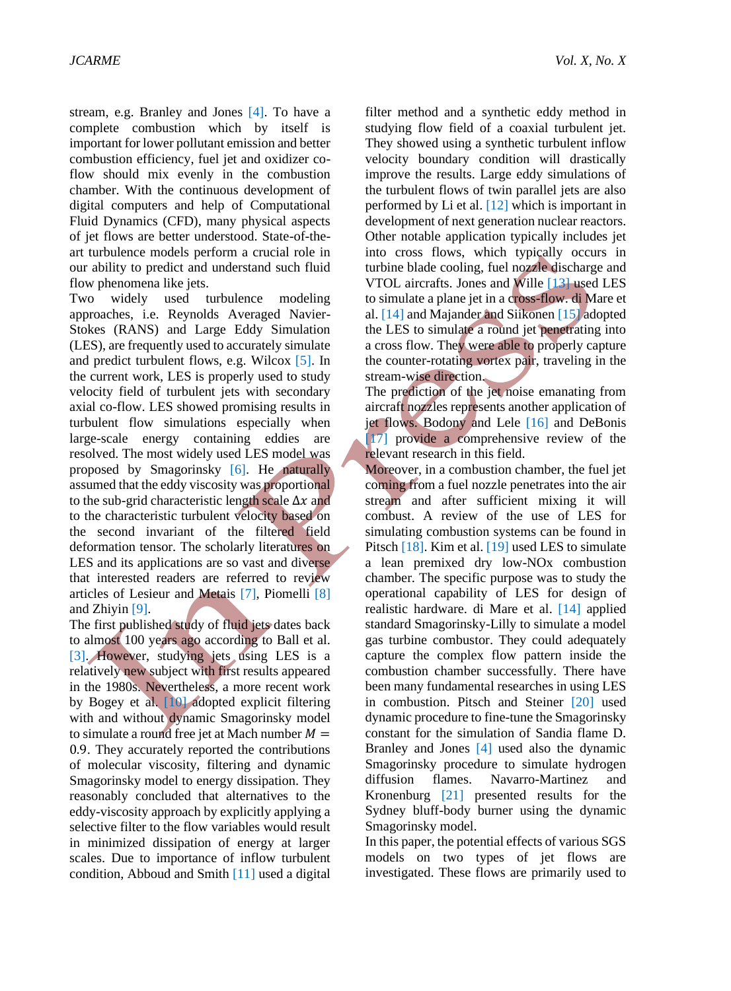stream, e.g. [Branley and Jones](#page-9-3) [4]. To have a complete combustion which by itself is important for lower pollutant emission and better combustion efficiency, fuel jet and oxidizer coflow should mix evenly in the combustion chamber. With the continuous development of digital computers and help of Computational Fluid Dynamics (CFD), many physical aspects of jet flows are better understood. State-of-theart turbulence models perform a crucial role in our ability to predict and understand such fluid flow phenomena like jets.

Two widely used turbulence modeling approaches, i.e. Reynolds Averaged Navier-Stokes (RANS) and Large Eddy Simulation (LES), are frequently used to accurately simulate and predict turbulent flows, e.g. [Wilcox](#page-9-4) [5]. In the current work, LES is properly used to study velocity field of turbulent jets with secondary axial co-flow. LES showed promising results in turbulent flow simulations especially when large-scale energy containing eddies are resolved. The most widely used LES model was proposed by [Smagorinsky](#page-9-5) [6]. He naturally assumed that the eddy viscosity was proportional to the sub-grid characteristic length scale  $\Delta x$  and to the characteristic turbulent velocity based on the second invariant of the filtered field deformation tensor. The scholarly literatures on LES and its applications are so vast and diverse that interested readers are referred to review articles of [Lesieur and Metais](#page-9-6) [7], [Piomelli](#page-9-7) [8] and [Zhiyin](#page-9-8) [9].

The first published study of fluid jets dates back to almost 100 years ago according to [Ball et al.](#page-9-2) [\[3\]](#page-9-2). However, studying jets using LES is a relatively new subject with first results appeared in the 1980s. Nevertheless, a more recent work by [Bogey et al.](#page-9-9) [10] adopted explicit filtering with and without dynamic Smagorinsky model to simulate a round free jet at Mach number  $M =$ 0.9. They accurately reported the contributions of molecular viscosity, filtering and dynamic Smagorinsky model to energy dissipation. They reasonably concluded that alternatives to the eddy-viscosity approach by explicitly applying a selective filter to the flow variables would result in minimized dissipation of energy at larger scales. Due to importance of inflow turbulent condition, [Abboud and Smith](#page-9-10) [11] used a digital

filter method and a synthetic eddy method in studying flow field of a coaxial turbulent jet. They showed using a synthetic turbulent inflow velocity boundary condition will drastically improve the results. Large eddy simulations of the turbulent flows of twin parallel jets are also performed by [Li et al.](#page-9-11) [12] which is important in development of next generation nuclear reactors. Other notable application typically includes jet into cross flows, which typically occurs in turbine blade cooling, fuel nozzle discharge and VTOL aircrafts. [Jones and Wille](#page-9-12) [13] used LES to simulate a plane jet in a cross-flow. [di Mare et](#page-9-13)  al. [\[14\]](#page-9-13) and [Majander and Siikonen](#page-9-14) [15] adopted the LES to simulate a round jet penetrating into a cross flow. They were able to properly capture the counter-rotating vortex pair, traveling in the stream-wise direction.

The prediction of the jet noise emanating from aircraft nozzles represents another application of jet flows. [Bodony and Lele](#page-9-15) [16] and [DeBonis](#page-9-16) [\[17\]](#page-9-16) provide a comprehensive review of the relevant research in this field.

Moreover, in a combustion chamber, the fuel jet coming from a fuel nozzle penetrates into the air stream and after sufficient mixing it will combust. A review of the use of LES for simulating combustion systems can be found in [Pitsch](#page-10-0) [18]. [Kim et al.](#page-10-1) [19] used LES to simulate a lean premixed dry low-NOx combustion chamber. The specific purpose was to study the operational capability of LES for design of realistic hardware. [di Mare et al.](#page-9-13) [14] applied standard Smagorinsky-Lilly to simulate a model gas turbine combustor. They could adequately capture the complex flow pattern inside the combustion chamber successfully. There have been many fundamental researches in using LES in combustion. [Pitsch and Steiner](#page-10-2) [20] used dynamic procedure to fine-tune the Smagorinsky constant for the simulation of Sandia flame D. [Branley and Jones](#page-9-3) [4] used also the dynamic Smagorinsky procedure to simulate hydrogen diffusion flames. [Navarro-Martinez and](#page-10-3)  [Kronenburg](#page-10-3) [21] presented results for the Sydney bluff-body burner using the dynamic Smagorinsky model.

In this paper, the potential effects of various SGS models on two types of jet flows are investigated. These flows are primarily used to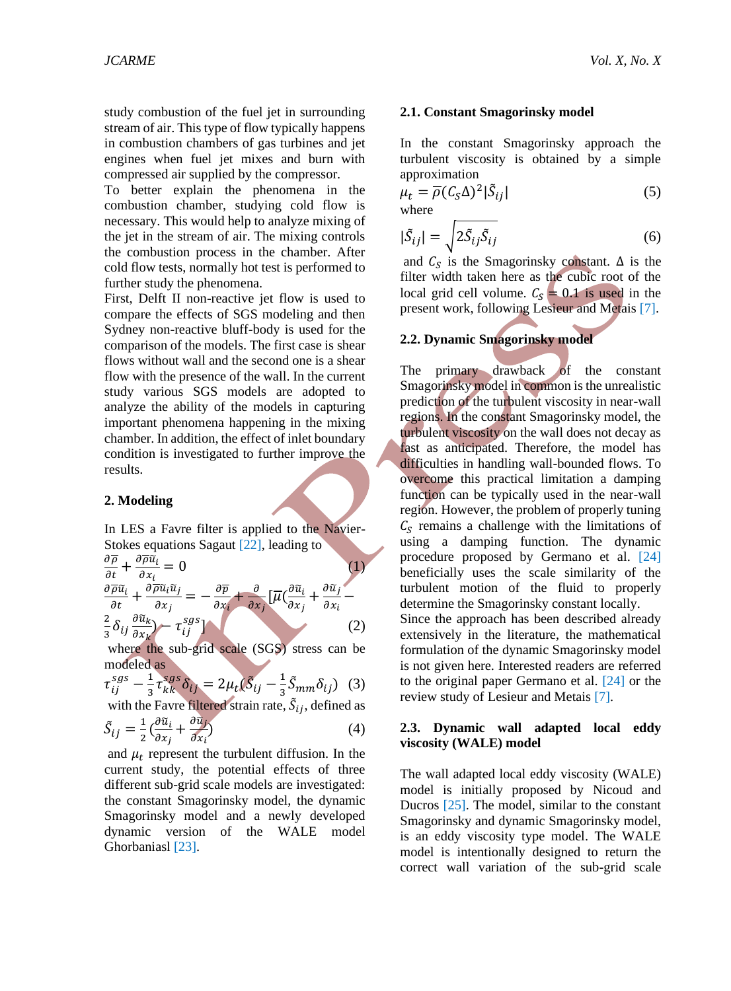study combustion of the fuel jet in surrounding stream of air. This type of flow typically happens in combustion chambers of gas turbines and jet engines when fuel jet mixes and burn with compressed air supplied by the compressor.

To better explain the phenomena in the combustion chamber, studying cold flow is necessary. This would help to analyze mixing of the jet in the stream of air. The mixing controls the combustion process in the chamber. After cold flow tests, normally hot test is performed to further study the phenomena.

First, Delft II non-reactive jet flow is used to compare the effects of SGS modeling and then Sydney non-reactive bluff-body is used for the comparison of the models. The first case is shear flows without wall and the second one is a shear flow with the presence of the wall. In the current study various SGS models are adopted to analyze the ability of the models in capturing important phenomena happening in the mixing chamber. In addition, the effect of inlet boundary condition is investigated to further improve the results.

# **2. Modeling**

In LES a Favre filter is applied to the Navier-Stokes equations [Sagaut \[22\]](#page-10-4), leading to

$$
\frac{\partial \overline{\rho}}{\partial t} + \frac{\partial \overline{\rho} \tilde{u}_i}{\partial x_i} = 0
$$
\n
$$
\frac{\partial \overline{\rho} \tilde{u}_i}{\partial t} + \frac{\partial \overline{\rho} \tilde{u}_i \tilde{u}_j}{\partial x_j} = -\frac{\partial \overline{\rho}}{\partial x_i} + \frac{\partial}{\partial x_j} \left[ \overline{\mu} \left( \frac{\partial \tilde{u}_i}{\partial x_j} + \frac{\partial \tilde{u}_j}{\partial x_i} - \frac{\partial \tilde{u}_i}{\partial x_j} \right) - \tau_{ij}^{sgs} \right]
$$
\n(1)

where the sub-grid scale (SGS) stress can be modeled as

$$
\tau_{ij}^{sgs} - \frac{1}{3} \tau_{kk}^{sgs} \delta_{ij} = 2\mu_t (\tilde{S}_{ij} - \frac{1}{3} \tilde{S}_{mm} \delta_{ij})
$$
 (3)

with the Favre filtered strain rate,  $\tilde{S}_{ij}$ , defined as

$$
\tilde{S}_{ij} = \frac{1}{2} \left( \frac{\partial \tilde{u}_i}{\partial x_j} + \frac{\partial \tilde{u}_j}{\partial x_i} \right) \tag{4}
$$

and  $\mu_t$  represent the turbulent diffusion. In the current study, the potential effects of three different sub-grid scale models are investigated: the constant Smagorinsky model, the dynamic Smagorinsky model and a newly developed dynamic version of the WALE model [Ghorbaniasl \[23\]](#page-10-5).

# **2.1. Constant Smagorinsky model**

In the constant Smagorinsky approach the turbulent viscosity is obtained by a simple approximation

$$
\mu_t = \overline{\rho}(C_S \Delta)^2 |\tilde{S}_{ij}|
$$
  
where (5)

$$
|\tilde{S}_{ij}| = \sqrt{2\tilde{S}_{ij}\tilde{S}_{ij}}
$$
 (6)

and  $C_S$  is the Smagorinsky constant.  $\Delta$  is the filter width taken here as the cubic root of the local grid cell volume.  $C_s = 0.1$  is used in the present work, following [Lesieur and Metais \[7\]](#page-9-6).

# **2.2. Dynamic Smagorinsky model**

The primary drawback of the constant Smagorinsky model in common is the unrealistic prediction of the turbulent viscosity in near-wall regions. In the constant Smagorinsky model, the turbulent viscosity on the wall does not decay as fast as anticipated. Therefore, the model has difficulties in handling wall-bounded flows. To overcome this practical limitation a damping function can be typically used in the near-wall region. However, the problem of properly tuning  $C<sub>S</sub>$  remains a challenge with the limitations of using a damping function. The dynamic procedure proposed by [Germano et al. \[24\]](#page-10-6) beneficially uses the scale similarity of the turbulent motion of the fluid to properly determine the Smagorinsky constant locally. Since the approach has been described already extensively in the literature, the mathematical formulation of the dynamic Smagorinsky model is not given here. Interested readers are referred to the original paper [Germano et al. \[24\]](#page-10-6) or the review study of [Lesieur and Metais](#page-9-6) [7].

# **2.3. Dynamic wall adapted local eddy viscosity (WALE) model**

The wall adapted local eddy viscosity (WALE) model is initially proposed by [Nicoud and](#page-10-7)  [Ducros \[25\]](#page-10-7). The model, similar to the constant Smagorinsky and dynamic Smagorinsky model, is an eddy viscosity type model. The WALE model is intentionally designed to return the correct wall variation of the sub-grid scale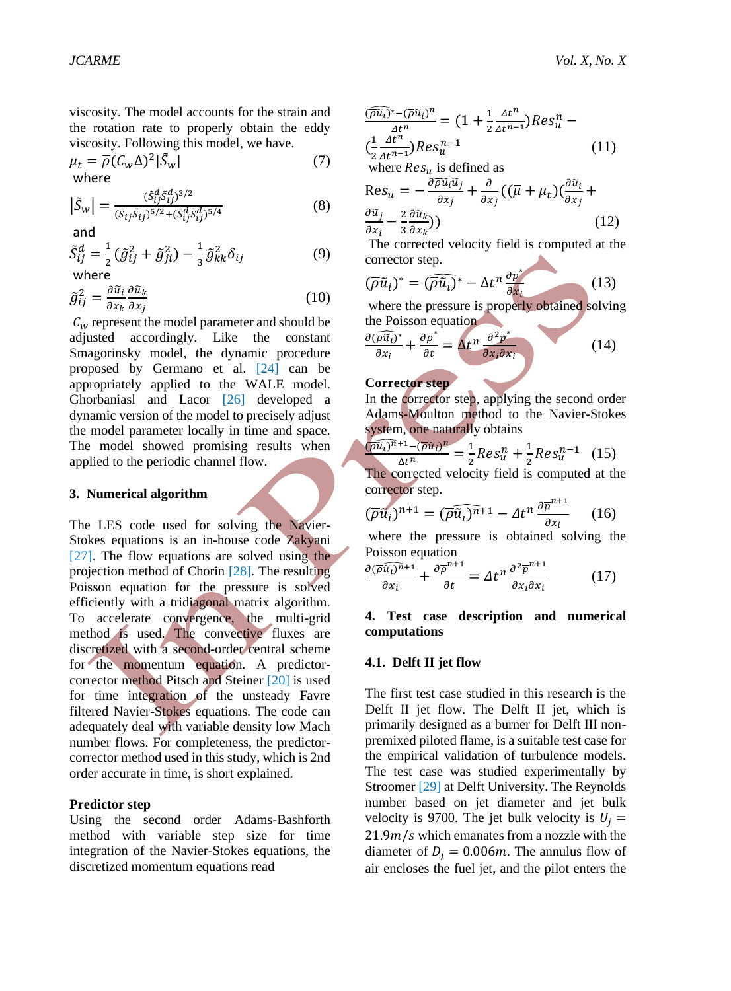viscosity. The model accounts for the strain and the rotation rate to properly obtain the eddy viscosity. Following this model, we have.

$$
\mu_t = \overline{\rho}(C_w \Delta)^2 |\tilde{S}_w|
$$
\nwhere

\n
$$
(7)
$$

$$
\left|\tilde{S}_{w}\right| = \frac{(\tilde{S}_{ij}^{d}\tilde{S}_{ij}^{d})^{3/2}}{(\tilde{S}_{ij}\tilde{S}_{ij})^{5/2} + (\tilde{S}_{ij}^{d}\tilde{S}_{ij}^{d})^{5/4}}
$$
(8)

and

$$
\tilde{S}_{ij}^d = \frac{1}{2} \left( \tilde{g}_{ij}^2 + \tilde{g}_{ji}^2 \right) - \frac{1}{3} \tilde{g}_{kk}^2 \delta_{ij}
$$
\n(9)

\nwhere

where

$$
\tilde{g}_{ij}^2 = \frac{\partial \tilde{u}_i}{\partial x_k} \frac{\partial \tilde{u}_k}{\partial x_j} \tag{10}
$$

 $c_w$  represent the model parameter and should be adjusted accordingly. Like the constant Smagorinsky model, the dynamic procedure proposed by [Germano et al. \[24\]](#page-10-6) can be appropriately applied to the WALE model. [Ghorbaniasl and Lacor \[26\]](#page-10-8) developed a dynamic version of the model to precisely adjust the model parameter locally in time and space. The model showed promising results when applied to the periodic channel flow.

#### **3. Numerical algorithm**

The LES code used for solving the Navier-Stokes equations is an in-house code [Zakyani](#page-10-9)  [\[27\]](#page-10-9). The flow equations are solved using the projection method of [Chorin \[28\]](#page-10-10). The resulting Poisson equation for the pressure is solved efficiently with a tridiagonal matrix algorithm. To accelerate convergence, the multi-grid method is used. The convective fluxes are discretized with a second-order central scheme for the momentum equation. A predictorcorrector method [Pitsch and Steiner](#page-10-2) [20] is used for time integration of the unsteady Favre filtered Navier-Stokes equations. The code can adequately deal with variable density low Mach number flows. For completeness, the predictorcorrector method used in this study, which is 2nd order accurate in time, is short explained.

#### **Predictor step**

Using the second order Adams-Bashforth method with variable step size for time integration of the Navier-Stokes equations, the discretized momentum equations read

$$
\frac{(\overline{\rho}\widetilde{u}_i)^* - (\overline{\rho}\widetilde{u}_i)^n}{\Delta t^n} = (1 + \frac{1}{2} \frac{\Delta t^n}{\Delta t^{n-1}}) Res_u^n - (\frac{1}{2} \frac{\Delta t^n}{\Delta t^{n-1}}) Res_u^{n-1}
$$
\n(11)

where  $Res_u$  is defined as

$$
\text{Res}_{u} = -\frac{\partial \overline{\rho} \tilde{u}_{i} \tilde{u}_{j}}{\partial x_{j}} + \frac{\partial}{\partial x_{j}} \left( (\overline{\mu} + \mu_{t}) \left( \frac{\partial \tilde{u}_{i}}{\partial x_{j}} + \frac{\partial \tilde{u}_{j}}{\partial x_{i}} - \frac{2}{3} \frac{\partial \tilde{u}_{k}}{\partial x_{k}} \right) \right)
$$
(12)

The corrected velocity field is computed at the corrector step.

$$
(\overline{\rho}\tilde{u}_i)^* = (\overline{\rho}\tilde{u}_i)^* - \Delta t^n \frac{\partial \overline{p}}{\partial x_i}
$$
 (13)

where the pressure is properly obtained solving the Poisson equation

$$
\frac{\partial(\overline{\widehat{\rho}\widehat{u}_t})^*}{\partial x_i} + \frac{\partial \overline{\rho}^*}{\partial t} = \Delta t^n \frac{\partial^2 \overline{p}^*}{\partial x_i \partial x_i} \tag{14}
$$

### **Corrector step**

In the corrector step, applying the second order Adams-Moulton method to the Navier-Stokes system, one naturally obtains

$$
\frac{(\overline{\rho}\widehat{u_i})^{n+1} - (\overline{\rho}\widehat{u_i})^n}{\Delta t^n} = \frac{1}{2} Res_u^n + \frac{1}{2} Res_u^{n-1} \quad (15)
$$

The corrected velocity field is computed at the corrector step.

$$
(\overline{\rho}\widehat{u}_i)^{n+1} = (\overline{\rho}\widehat{u}_i)^{n+1} - \Delta t^n \frac{\partial \overline{p}^{n+1}}{\partial x_i} \qquad (16)
$$

where the pressure is obtained solving the Poisson equation

$$
\frac{\partial(\overline{\rho}\,\widehat{u_i})^{n+1}}{\partial x_i} + \frac{\partial\overline{\rho}^{n+1}}{\partial t} = \Delta t^n \frac{\partial^2 \overline{\rho}^{n+1}}{\partial x_i \partial x_i} \tag{17}
$$

### **4. Test case description and numerical computations**

#### **4.1. Delft II jet flow**

The first test case studied in this research is the Delft II jet flow. The Delft II jet, which is primarily designed as a burner for Delft III nonpremixed piloted flame, is a suitable test case for the empirical validation of turbulence models. The test case was studied experimentally by [Stroomer \[29\]](#page-10-11) at Delft University. The Reynolds number based on jet diameter and jet bulk velocity is 9700. The jet bulk velocity is  $U_i =$  $21.9m/s$  which emanates from a nozzle with the diameter of  $D_i = 0.006m$ . The annulus flow of air encloses the fuel jet, and the pilot enters the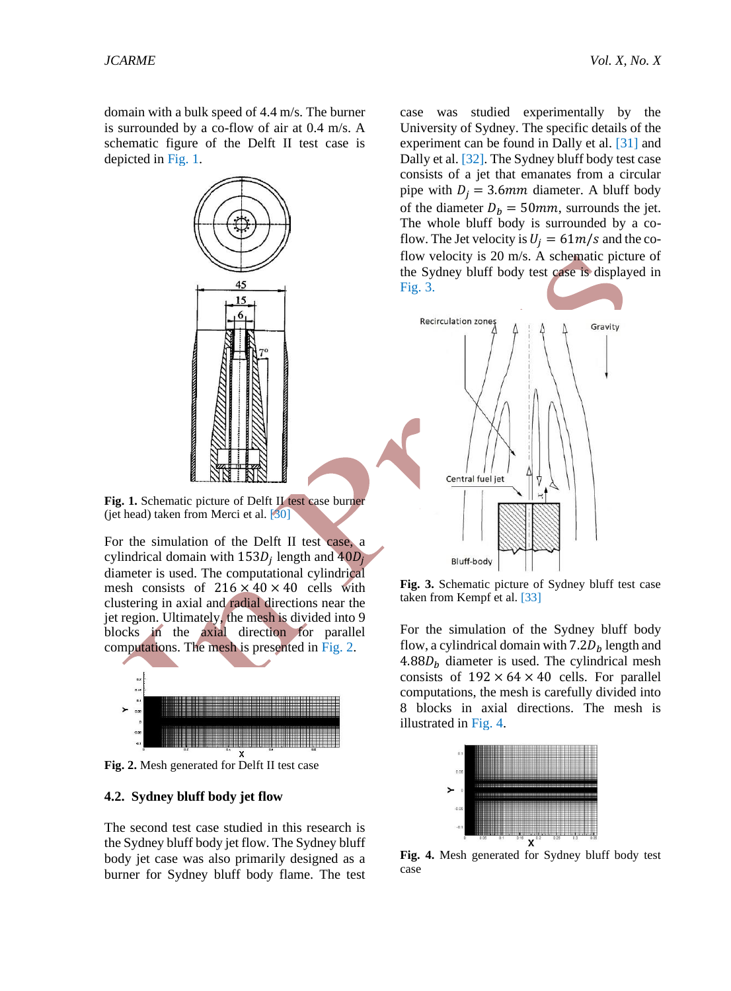domain with a bulk speed of 4.4 m/s. The burner is surrounded by a co-flow of air at 0.4 m/s. A schematic figure of the Delft II test case is depicted in [Fig. 1.](#page-4-0)



<span id="page-4-0"></span>Fig. 1. Schematic picture of Delft II test case burner (jet head) taken from Merci et al.  $[30]$ 

For the simulation of the Delft II test case, a cylindrical domain with  $153D_j$  length and  $40D_j$ diameter is used. The computational cylindrical mesh consists of  $216 \times 40 \times 40$  cells with clustering in axial and radial directions near the jet region. Ultimately, the mesh is divided into 9 blocks in the axial direction for parallel computations. The mesh is presented in [Fig. 2.](#page-4-1)



<span id="page-4-1"></span>**Fig. 2.** Mesh generated for Delft II test case

### **4.2. Sydney bluff body jet flow**

The second test case studied in this research is the Sydney bluff body jet flow. The Sydney bluff body jet case was also primarily designed as a burner for Sydney bluff body flame. The test

case was studied experimentally by the University of Sydney. The specific details of the experiment can be found in [Dally et al. \[31\]](#page-10-13) and [Dally et al. \[32\]](#page-10-14). The Sydney bluff body test case consists of a jet that emanates from a circular pipe with  $D_i = 3.6$ mm diameter. A bluff body of the diameter  $D_h = 50$ mm, surrounds the jet. The whole bluff body is surrounded by a coflow. The Jet velocity is  $U_i = 61m/s$  and the coflow velocity is 20 m/s. A schematic picture of the Sydney bluff body test case is displayed in [Fig. 3.](#page-4-2)



<span id="page-4-2"></span>**Fig. 3.** Schematic picture of Sydney bluff test case taken from [Kempf et al. \[33\]](#page-10-15)

For the simulation of the Sydney bluff body flow, a cylindrical domain with  $7.2D<sub>b</sub>$  length and  $4.88 D<sub>b</sub>$  diameter is used. The cylindrical mesh consists of  $192 \times 64 \times 40$  cells. For parallel computations, the mesh is carefully divided into 8 blocks in axial directions. The mesh is illustrated in [Fig. 4.](#page-4-3)



<span id="page-4-3"></span>**Fig. 4.** Mesh generated for Sydney bluff body test case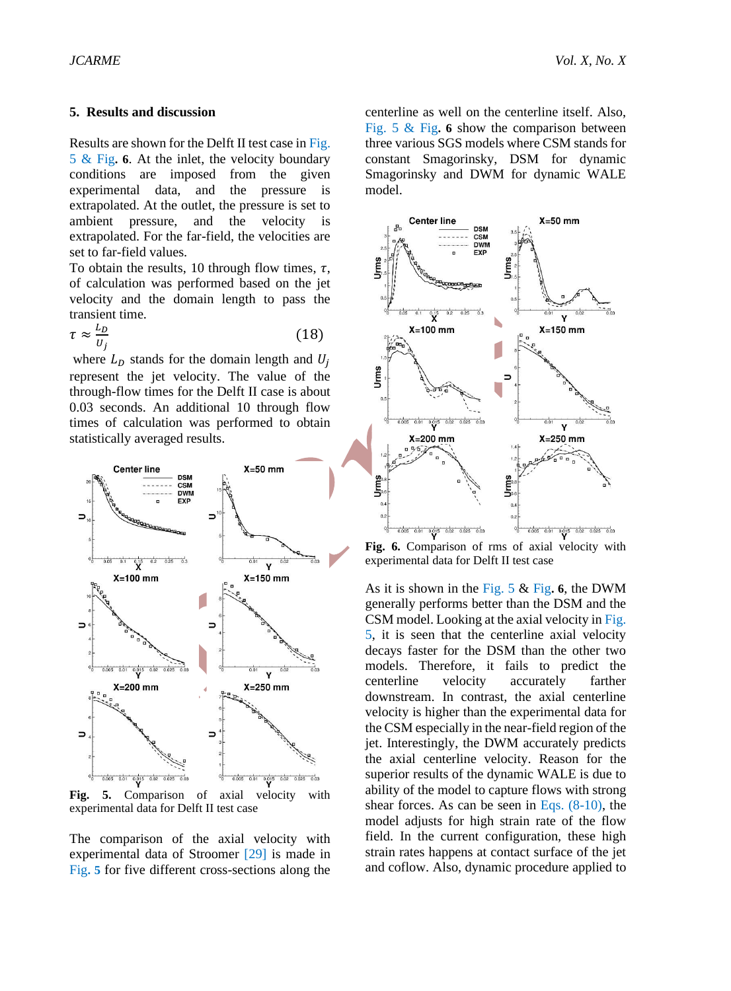### **5. Results and discussion**

Results are shown for the Delft II test case in [Fig.](#page-5-0)  [5](#page-5-0) & [Fig](#page-5-1)**. [6](#page-5-1)**. At the inlet, the velocity boundary conditions are imposed from the given experimental data, and the pressure is extrapolated. At the outlet, the pressure is set to ambient pressure, and the velocity is extrapolated. For the far-field, the velocities are set to far-field values.

To obtain the results, 10 through flow times,  $\tau$ , of calculation was performed based on the jet velocity and the domain length to pass the transient time.

$$
\tau \approx \frac{L_D}{U_j} \tag{18}
$$

where  $L<sub>D</sub>$  stands for the domain length and  $U<sub>i</sub>$ represent the jet velocity. The value of the through-flow times for the Delft II case is about 0.03 seconds. An additional 10 through flow times of calculation was performed to obtain statistically averaged results.



<span id="page-5-0"></span>experimental data for Delft II test case

The comparison of the axial velocity with experimental data of [Stroomer \[29\]](#page-10-11) is made in [Fig](#page-5-0)**. [5](#page-5-0)** for five different cross-sections along the centerline as well on the centerline itself. Also, [Fig. 5](#page-5-0) & [Fig](#page-5-1)**. [6](#page-5-1)** show the comparison between three various SGS models where CSM stands for constant Smagorinsky, DSM for dynamic Smagorinsky and DWM for dynamic WALE model.



<span id="page-5-1"></span>**Fig. 6.** Comparison of rms of axial velocity with experimental data for Delft II test case

As it is shown in the [Fig. 5](#page-5-0) & [Fig](#page-5-1)**. [6](#page-5-1)**, the DWM generally performs better than the DSM and the CSM model. Looking at the axial velocity in [Fig.](#page-5-0)  [5,](#page-5-0) it is seen that the centerline axial velocity decays faster for the DSM than the other two models. Therefore, it fails to predict the centerline velocity accurately farther downstream. In contrast, the axial centerline velocity is higher than the experimental data for the CSM especially in the near-field region of the jet. Interestingly, the DWM accurately predicts the axial centerline velocity. Reason for the superior results of the dynamic WALE is due to ability of the model to capture flows with strong shear forces. As can be seen in Eqs. (8-10), the model adjusts for high strain rate of the flow field. In the current configuration, these high strain rates happens at contact surface of the jet and coflow. Also, dynamic procedure applied to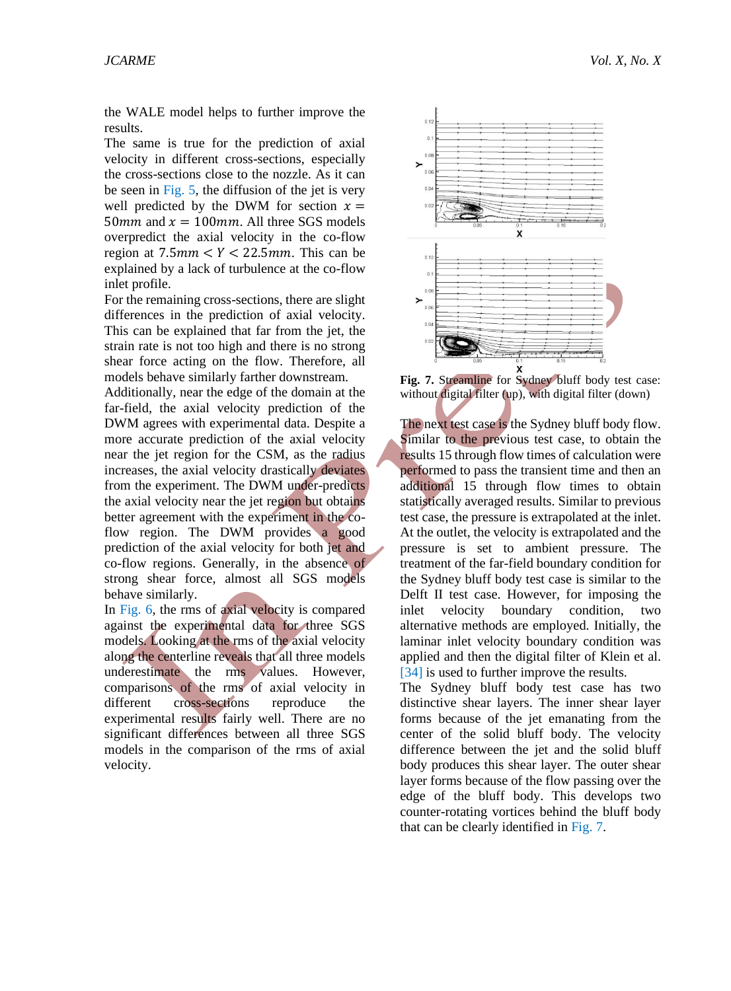the WALE model helps to further improve the results.

The same is true for the prediction of axial velocity in different cross-sections, especially the cross-sections close to the nozzle. As it can be seen in Fig.  $5$ , the diffusion of the jet is very well predicted by the DWM for section  $x =$ 50 mm and  $x = 100$  mm. All three SGS models overpredict the axial velocity in the co-flow region at  $7.5$ mm  $\lt Y \lt 22.5$ mm. This can be explained by a lack of turbulence at the co-flow inlet profile.

For the remaining cross-sections, there are slight differences in the prediction of axial velocity. This can be explained that far from the jet, the strain rate is not too high and there is no strong shear force acting on the flow. Therefore, all models behave similarly farther downstream.

Additionally, near the edge of the domain at the far-field, the axial velocity prediction of the DWM agrees with experimental data. Despite a more accurate prediction of the axial velocity near the jet region for the CSM, as the radius increases, the axial velocity drastically deviates from the experiment. The DWM under-predicts the axial velocity near the jet region but obtains better agreement with the experiment in the coflow region. The DWM provides a good prediction of the axial velocity for both jet and co-flow regions. Generally, in the absence of strong shear force, almost all SGS models behave similarly.

In [Fig. 6,](#page-5-1) the rms of axial velocity is compared against the experimental data for three SGS models. Looking at the rms of the axial velocity along the centerline reveals that all three models underestimate the rms values. However, comparisons of the rms of axial velocity in different cross-sections reproduce the experimental results fairly well. There are no significant differences between all three SGS models in the comparison of the rms of axial velocity.



<span id="page-6-0"></span>Fig. 7. Streamline for Sydney bluff body test case: without digital filter (up), with digital filter (down)

The next test case is the Sydney bluff body flow. Similar to the previous test case, to obtain the results 15 through flow times of calculation were performed to pass the transient time and then an additional 15 through flow times to obtain statistically averaged results. Similar to previous test case, the pressure is extrapolated at the inlet. At the outlet, the velocity is extrapolated and the pressure is set to ambient pressure. The treatment of the far-field boundary condition for the Sydney bluff body test case is similar to the Delft II test case. However, for imposing the inlet velocity boundary condition, two alternative methods are employed. Initially, the laminar inlet velocity boundary condition was applied and then the digital filter of [Klein et al.](#page-10-16) [\[34\]](#page-10-16) is used to further improve the results.

The Sydney bluff body test case has two distinctive shear layers. The inner shear layer forms because of the jet emanating from the center of the solid bluff body. The velocity difference between the jet and the solid bluff body produces this shear layer. The outer shear layer forms because of the flow passing over the edge of the bluff body. This develops two counter-rotating vortices behind the bluff body that can be clearly identified in [Fig. 7.](#page-6-0)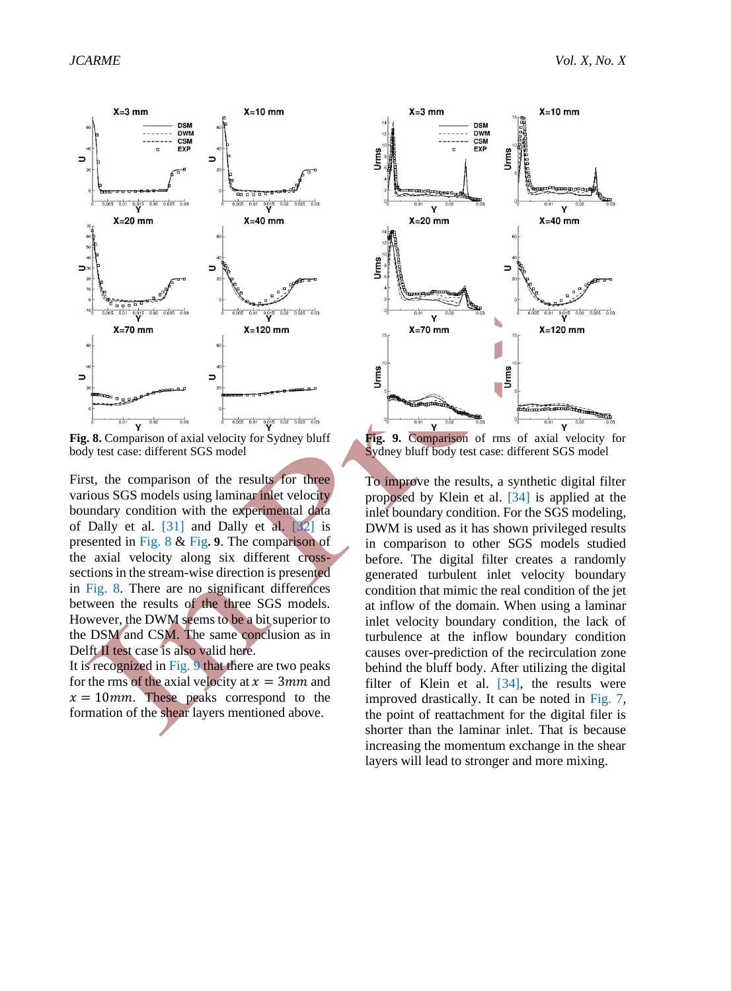

<span id="page-7-0"></span>**Fig. 8.** Comparison of axial velocity for Sydney bluff body test case: different SGS model

First, the comparison of the results for three various SGS models using laminar inlet velocity boundary condition with the experimental data of [Dally et al. \[31\]](#page-10-13) and [Dally et al. \[32\]](#page-10-14) is presented in [Fig. 8](#page-7-0) & [Fig](#page-7-1)**. [9](#page-7-1)**. The comparison of the axial velocity along six different crosssections in the stream-wise direction is presented in [Fig. 8.](#page-7-0) There are no significant differences between the results of the three SGS models. However, the DWM seems to be a bit superior to the DSM and CSM. The same conclusion as in Delft II test case is also valid here.

It is recognized i[n Fig. 9](#page-7-1) that there are two peaks for the rms of the axial velocity at  $x = 3mm$  and  $x = 10$ mm. These peaks correspond to the formation of the shear layers mentioned above.



<span id="page-7-1"></span>**Fig. 9.** Comparison of rms of axial velocity for Sydney bluff body test case: different SGS model

To improve the results, a synthetic digital filter proposed by [Klein et al. \[34\]](#page-10-16) is applied at the inlet boundary condition. For the SGS modeling, DWM is used as it has shown privileged results in comparison to other SGS models studied before. The digital filter creates a randomly generated turbulent inlet velocity boundary condition that mimic the real condition of the jet at inflow of the domain. When using a laminar inlet velocity boundary condition, the lack of turbulence at the inflow boundary condition causes over-prediction of the recirculation zone behind the bluff body. After utilizing the digital filter of Klein et al.  $[34]$ , the results were improved drastically. It can be noted in [Fig. 7,](#page-6-0) the point of reattachment for the digital filer is shorter than the laminar inlet. That is because increasing the momentum exchange in the shear layers will lead to stronger and more mixing.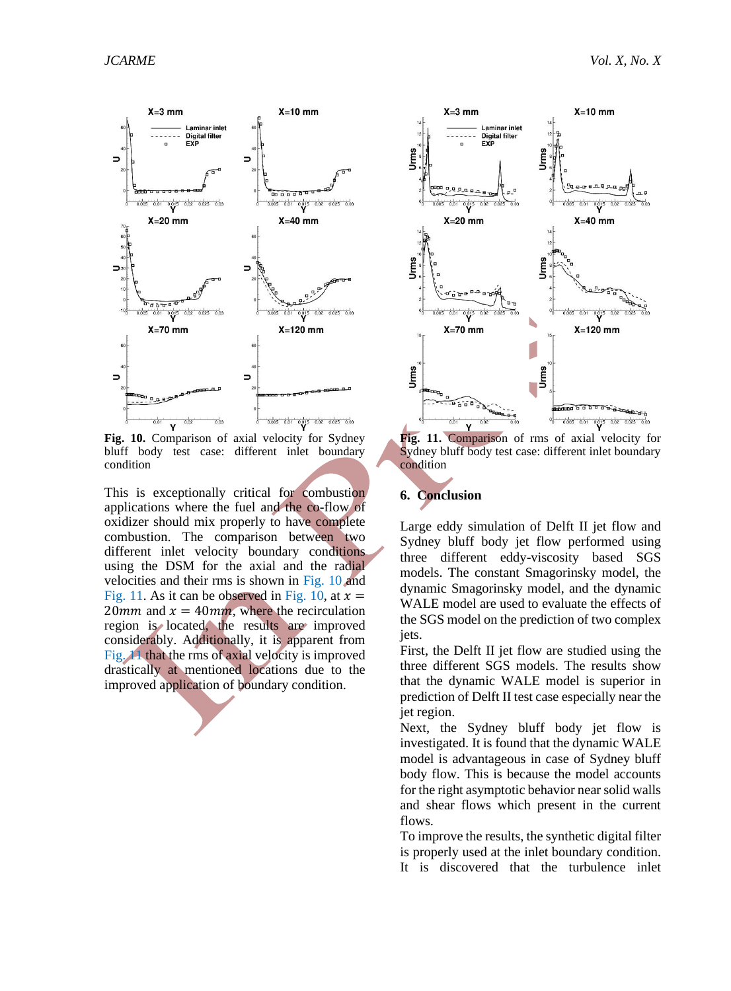

<span id="page-8-0"></span>**Fig. 10.** Comparison of axial velocity for Sydney bluff body test case: different inlet boundary condition

This is exceptionally critical for combustion applications where the fuel and the co-flow of oxidizer should mix properly to have complete combustion. The comparison between two different inlet velocity boundary conditions using the DSM for the axial and the radial velocities and their rms is shown in [Fig. 10](#page-8-0) and [Fig. 11.](#page-8-1) As it can be observed in [Fig. 10,](#page-8-0) at  $x =$ 20mm and  $x = 40$ mm, where the recirculation region is located, the results are improved considerably. Additionally, it is apparent from [Fig. 11](#page-8-1) that the rms of axial velocity is improved drastically at mentioned locations due to the improved application of boundary condition.



<span id="page-8-1"></span>**Fig. 11.** Comparison of rms of axial velocity for Sydney bluff body test case: different inlet boundary condition

# **6. Conclusion**

Large eddy simulation of Delft II jet flow and Sydney bluff body jet flow performed using three different eddy-viscosity based SGS models. The constant Smagorinsky model, the dynamic Smagorinsky model, and the dynamic WALE model are used to evaluate the effects of the SGS model on the prediction of two complex jets.

First, the Delft II jet flow are studied using the three different SGS models. The results show that the dynamic WALE model is superior in prediction of Delft II test case especially near the jet region.

Next, the Sydney bluff body jet flow is investigated. It is found that the dynamic WALE model is advantageous in case of Sydney bluff body flow. This is because the model accounts for the right asymptotic behavior near solid walls and shear flows which present in the current flows.

To improve the results, the synthetic digital filter is properly used at the inlet boundary condition. It is discovered that the turbulence inlet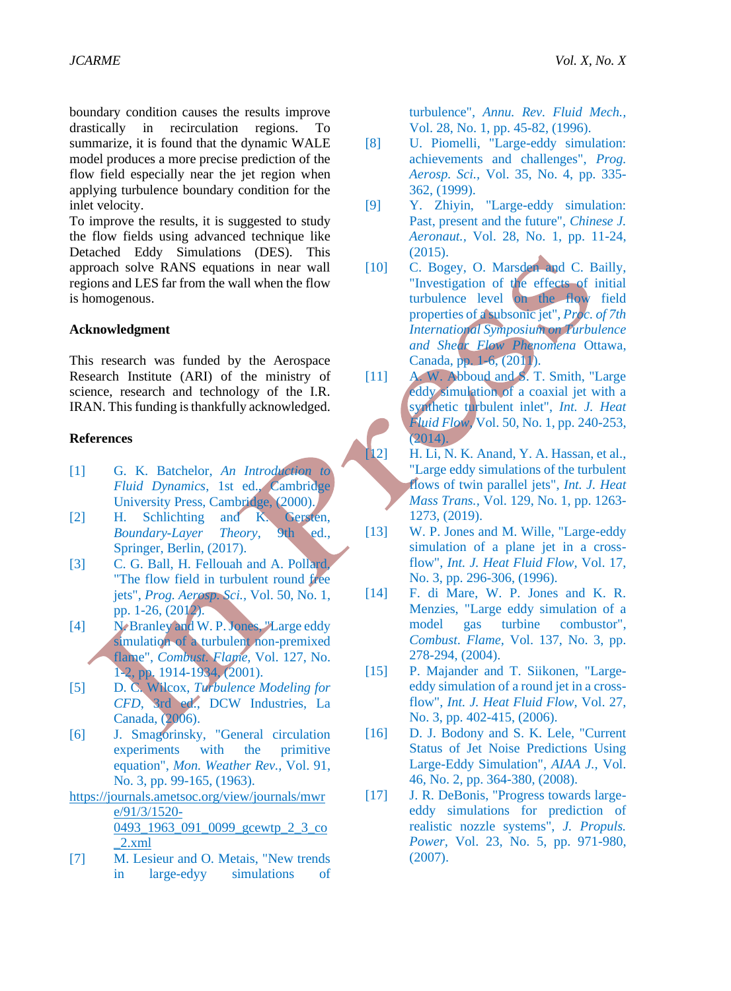boundary condition causes the results improve drastically in recirculation regions. To summarize, it is found that the dynamic WALE model produces a more precise prediction of the flow field especially near the jet region when applying turbulence boundary condition for the inlet velocity.

To improve the results, it is suggested to study the flow fields using advanced technique like Detached Eddy Simulations (DES). This approach solve RANS equations in near wall regions and LES far from the wall when the flow is homogenous.

### **Acknowledgment**

This research was funded by the Aerospace Research Institute (ARI) of the ministry of science, research and technology of the I.R. IRAN. This funding is thankfully acknowledged.

# **References**

- <span id="page-9-0"></span>[1] G. K. Batchelor, *An Introduction to Fluid Dynamics*, 1st ed., Cambridge University Press, Cambridge, (2000).
- <span id="page-9-1"></span>[2] H. Schlichting and K. Gersten,<br>Boundary-Layer Theory, 9th ed., *Boundary-Layer Theory,* Springer, Berlin, (2017).
- <span id="page-9-2"></span>[3] C. G. Ball, H. Fellouah and A. Pollard, "The flow field in turbulent round free jets", *Prog. Aerosp. Sci.,* Vol. 50, No. 1, pp. 1-26, (2012).
- <span id="page-9-3"></span>[4] N. Branley and W. P. Jones, "Large eddy simulation of a turbulent non-premixed flame", *Combust. Flame,* Vol. 127, No. 1-2, pp. 1914-1934, (2001).
- <span id="page-9-4"></span>[5] D. C. Wilcox, *Turbulence Modeling for CFD*, 3rd ed., DCW Industries, La Canada, (2006).
- <span id="page-9-5"></span>[6] J. Smagorinsky, "General circulation experiments with the primitive equation", *Mon. Weather Rev.,* Vol. 91, No. 3, pp. 99-165, (1963).
- [https://journals.ametsoc.org/view/journals/mwr](https://journals.ametsoc.org/view/journals/mwre/91/3/1520-0493_1963_091_0099_gcewtp_2_3_co_2.xml) [e/91/3/1520-](https://journals.ametsoc.org/view/journals/mwre/91/3/1520-0493_1963_091_0099_gcewtp_2_3_co_2.xml) [0493\\_1963\\_091\\_0099\\_gcewtp\\_2\\_3\\_co](https://journals.ametsoc.org/view/journals/mwre/91/3/1520-0493_1963_091_0099_gcewtp_2_3_co_2.xml) [\\_2.xml](https://journals.ametsoc.org/view/journals/mwre/91/3/1520-0493_1963_091_0099_gcewtp_2_3_co_2.xml)
- <span id="page-9-6"></span>[7] M. Lesieur and O. Metais, "New trends in large-edyy simulations of

turbulence", *Annu. Rev. Fluid Mech.,*  Vol. 28, No. 1, pp. 45-82, (1996).

- <span id="page-9-7"></span>[8] U. Piomelli, "Large-eddy simulation: achievements and challenges", *Prog. Aerosp. Sci.,* Vol. 35, No. 4, pp. 335- 362, (1999).
- <span id="page-9-8"></span>[9] Y. Zhiyin, "Large-eddy simulation: Past, present and the future", *Chinese J. Aeronaut.,* Vol. 28, No. 1, pp. 11-24, (2015).
- <span id="page-9-9"></span>[10] C. Bogey, O. Marsden and C. Bailly, "Investigation of the effects of initial turbulence level on the flow field properties of a subsonic jet", *Proc. of 7th International Symposium on Turbulence and Shear Flow Phenomena* Ottawa, Canada, pp. 1-6, (2011).
- <span id="page-9-10"></span>[11] A. W. Abboud and S. T. Smith, "Large eddy simulation of a coaxial jet with a synthetic turbulent inlet", *Int. J. Heat Fluid Flow,* Vol. 50, No. 1, pp. 240-253, (2014).
- <span id="page-9-11"></span>[12] H. Li, N. K. Anand, Y. A. Hassan, et al., "Large eddy simulations of the turbulent flows of twin parallel jets", *Int. J. Heat Mass Trans.,* Vol. 129, No. 1, pp. 1263- 1273, (2019).
- <span id="page-9-12"></span>[13] W. P. Jones and M. Wille, "Large-eddy simulation of a plane jet in a crossflow", *Int. J. Heat Fluid Flow,* Vol. 17, No. 3, pp. 296-306, (1996).
- <span id="page-9-13"></span>[14] F. di Mare, W. P. Jones and K. R. Menzies, "Large eddy simulation of a model gas turbine combustor", *Combust. Flame,* Vol. 137, No. 3, pp. 278-294, (2004).
- <span id="page-9-14"></span>[15] P. Majander and T. Siikonen, "Largeeddy simulation of a round jet in a crossflow", *Int. J. Heat Fluid Flow,* Vol. 27, No. 3, pp. 402-415, (2006).
- <span id="page-9-15"></span>[16] D. J. Bodony and S. K. Lele, "Current Status of Jet Noise Predictions Using Large-Eddy Simulation", *AIAA J.,* Vol. 46, No. 2, pp. 364-380, (2008).
- <span id="page-9-16"></span>[17] J. R. DeBonis, "Progress towards largeeddy simulations for prediction of realistic nozzle systems", *J. Propuls. Power,* Vol. 23, No. 5, pp. 971-980, (2007).